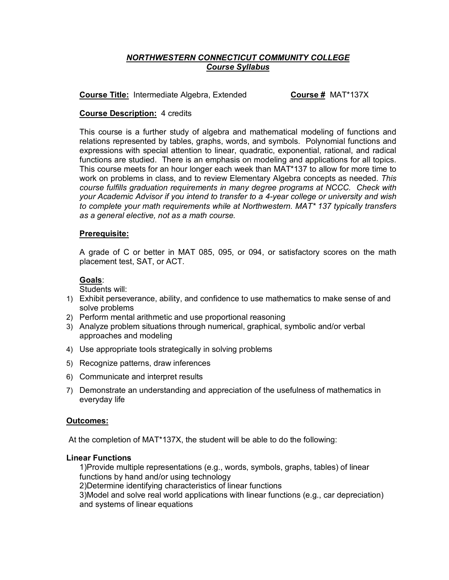## *NORTHWESTERN CONNECTICUT COMMUNITY COLLEGE Course Syllabus*

### **Course Title:** Intermediate Algebra, Extended **Course #** MAT\*137X

## **Course Description:** 4 credits

This course is a further study of algebra and mathematical modeling of functions and relations represented by tables, graphs, words, and symbols. Polynomial functions and expressions with special attention to linear, quadratic, exponential, rational, and radical functions are studied. There is an emphasis on modeling and applications for all topics. This course meets for an hour longer each week than MAT\*137 to allow for more time to work on problems in class, and to review Elementary Algebra concepts as needed. *This course fulfills graduation requirements in many degree programs at NCCC. Check with your Academic Advisor if you intend to transfer to a 4-year college or university and wish to complete your math requirements while at Northwestern. MAT\* 137 typically transfers as a general elective, not as a math course.*

### **Prerequisite:**

A grade of C or better in MAT 085, 095, or 094, or satisfactory scores on the math placement test, SAT, or ACT.

### **Goals**:

Students will:

- 1) Exhibit perseverance, ability, and confidence to use mathematics to make sense of and solve problems
- 2) Perform mental arithmetic and use proportional reasoning
- 3) Analyze problem situations through numerical, graphical, symbolic and/or verbal approaches and modeling
- 4) Use appropriate tools strategically in solving problems
- 5) Recognize patterns, draw inferences
- 6) Communicate and interpret results
- 7) Demonstrate an understanding and appreciation of the usefulness of mathematics in everyday life

## **Outcomes:**

At the completion of MAT\*137X, the student will be able to do the following:

#### **Linear Functions**

1)Provide multiple representations (e.g., words, symbols, graphs, tables) of linear functions by hand and/or using technology 2)Determine identifying characteristics of linear functions 3)Model and solve real world applications with linear functions (e.g., car depreciation) and systems of linear equations